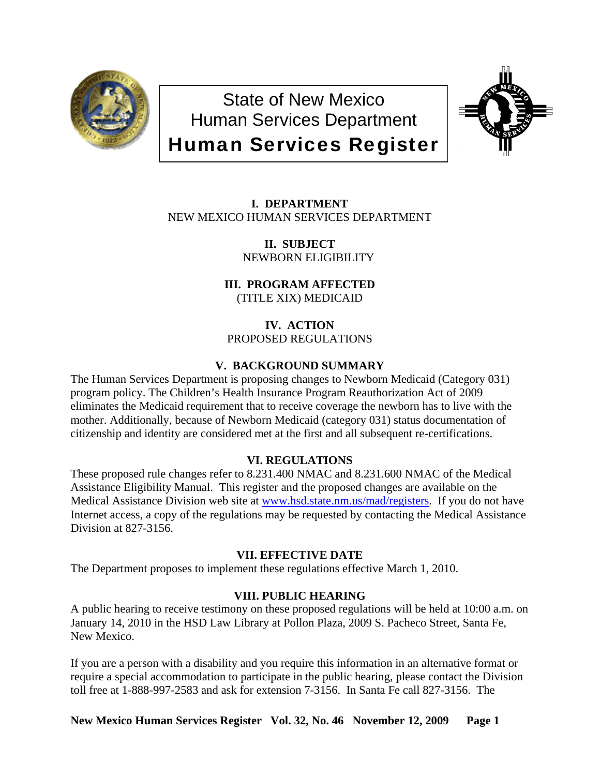

State of New Mexico Human Services Department Human Services Register



**I. DEPARTMENT** NEW MEXICO HUMAN SERVICES DEPARTMENT

> **II. SUBJECT** NEWBORN ELIGIBILITY

**III. PROGRAM AFFECTED** (TITLE XIX) MEDICAID

**IV. ACTION** PROPOSED REGULATIONS

# **V. BACKGROUND SUMMARY**

The Human Services Department is proposing changes to Newborn Medicaid (Category 031) program policy. The Children's Health Insurance Program Reauthorization Act of 2009 eliminates the Medicaid requirement that to receive coverage the newborn has to live with the mother. Additionally, because of Newborn Medicaid (category 031) status documentation of citizenship and identity are considered met at the first and all subsequent re-certifications.

# **VI. REGULATIONS**

These proposed rule changes refer to 8.231.400 NMAC and 8.231.600 NMAC of the Medical Assistance Eligibility Manual. This register and the proposed changes are available on the Medical Assistance Division web site at [www.hsd.state.nm.us/mad/registers.](http://www.hsd.state.nm.us/mad/registers) If you do not have Internet access, a copy of the regulations may be requested by contacting the Medical Assistance Division at 827-3156.

# **VII. EFFECTIVE DATE**

The Department proposes to implement these regulations effective March 1, 2010.

# **VIII. PUBLIC HEARING**

A public hearing to receive testimony on these proposed regulations will be held at 10:00 a.m. on January 14, 2010 in the HSD Law Library at Pollon Plaza, 2009 S. Pacheco Street, Santa Fe, New Mexico.

If you are a person with a disability and you require this information in an alternative format or require a special accommodation to participate in the public hearing, please contact the Division toll free at 1-888-997-2583 and ask for extension 7-3156. In Santa Fe call 827-3156. The

**New Mexico Human Services Register Vol. 32, No. 46 November 12, 2009 Page 1**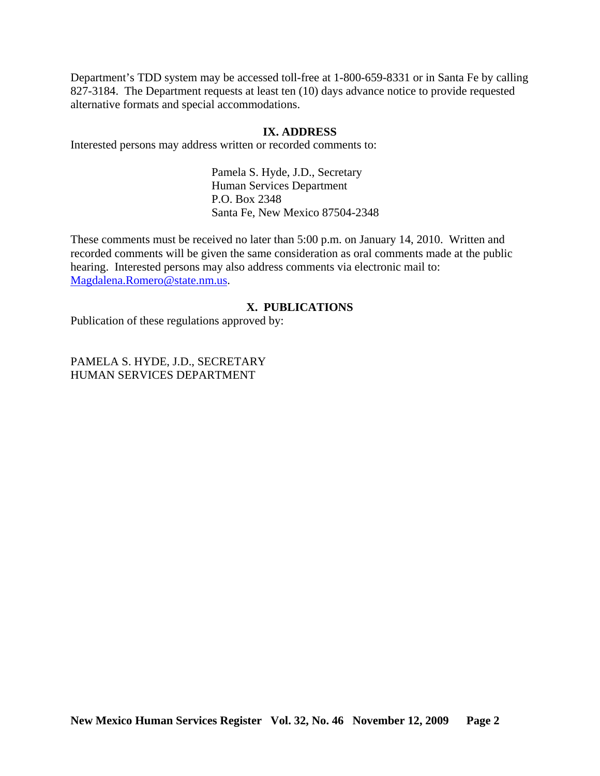Department's TDD system may be accessed toll-free at 1-800-659-8331 or in Santa Fe by calling 827-3184. The Department requests at least ten (10) days advance notice to provide requested alternative formats and special accommodations.

#### **IX. ADDRESS**

Interested persons may address written or recorded comments to:

Pamela S. Hyde, J.D., Secretary Human Services Department P.O. Box 2348 Santa Fe, New Mexico 87504-2348

These comments must be received no later than 5:00 p.m. on January 14, 2010. Written and recorded comments will be given the same consideration as oral comments made at the public hearing. Interested persons may also address comments via electronic mail to: [Magdalena.Romero@state.nm.us.](mailto:Magdalena.Romero@state.nm.us)

# **X. PUBLICATIONS**

Publication of these regulations approved by:

PAMELA S. HYDE, J.D., SECRETARY HUMAN SERVICES DEPARTMENT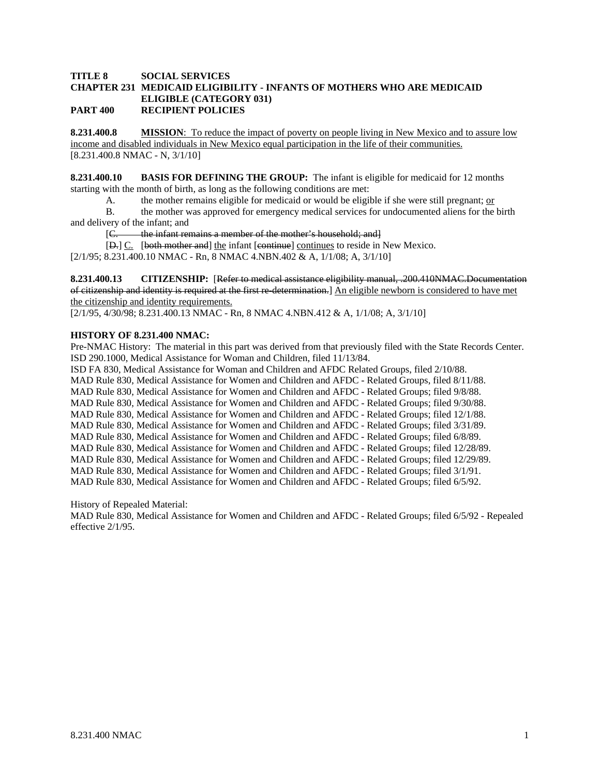#### **TITLE 8 SOCIAL SERVICES CHAPTER 231 MEDICAID ELIGIBILITY - INFANTS OF MOTHERS WHO ARE MEDICAID ELIGIBLE (CATEGORY 031) PART 400 RECIPIENT POLICIES**

**8.231.400.8 MISSION**: To reduce the impact of poverty on people living in New Mexico and to assure low income and disabled individuals in New Mexico equal participation in the life of their communities. [8.231.400.8 NMAC - N, 3/1/10]

**8.231.400.10 BASIS FOR DEFINING THE GROUP:** The infant is eligible for medicaid for 12 months starting with the month of birth, as long as the following conditions are met:

A. the mother remains eligible for medicaid or would be eligible if she were still pregnant; or

 B. the mother was approved for emergency medical services for undocumented aliens for the birth and delivery of the infant; and

[C. the infant remains a member of the mother's household; and]

[D.] C. [both mother and] the infant [continue] continues to reside in New Mexico. [2/1/95; 8.231.400.10 NMAC - Rn, 8 NMAC 4.NBN.402 & A, 1/1/08; A, 3/1/10]

**8.231.400.13 CITIZENSHIP:** [Refer to medical assistance eligibility manual, .200.410NMAC.Documentation of citizenship and identity is required at the first re-determination.] An eligible newborn is considered to have met the citizenship and identity requirements.

[2/1/95, 4/30/98; 8.231.400.13 NMAC - Rn, 8 NMAC 4.NBN.412 & A, 1/1/08; A, 3/1/10]

#### **HISTORY OF 8.231.400 NMAC:**

Pre-NMAC History: The material in this part was derived from that previously filed with the State Records Center. ISD 290.1000, Medical Assistance for Woman and Children, filed 11/13/84. ISD FA 830, Medical Assistance for Woman and Children and AFDC Related Groups, filed 2/10/88. MAD Rule 830, Medical Assistance for Women and Children and AFDC - Related Groups, filed 8/11/88. MAD Rule 830, Medical Assistance for Women and Children and AFDC - Related Groups; filed 9/8/88. MAD Rule 830, Medical Assistance for Women and Children and AFDC - Related Groups; filed 9/30/88. MAD Rule 830, Medical Assistance for Women and Children and AFDC - Related Groups; filed 12/1/88. MAD Rule 830, Medical Assistance for Women and Children and AFDC - Related Groups; filed 3/31/89. MAD Rule 830, Medical Assistance for Women and Children and AFDC - Related Groups; filed 6/8/89.

MAD Rule 830, Medical Assistance for Women and Children and AFDC - Related Groups; filed 12/28/89.

MAD Rule 830, Medical Assistance for Women and Children and AFDC - Related Groups; filed 12/29/89.

MAD Rule 830, Medical Assistance for Women and Children and AFDC - Related Groups; filed 3/1/91.

MAD Rule 830, Medical Assistance for Women and Children and AFDC - Related Groups; filed 6/5/92.

History of Repealed Material:

MAD Rule 830, Medical Assistance for Women and Children and AFDC - Related Groups; filed 6/5/92 - Repealed effective 2/1/95.